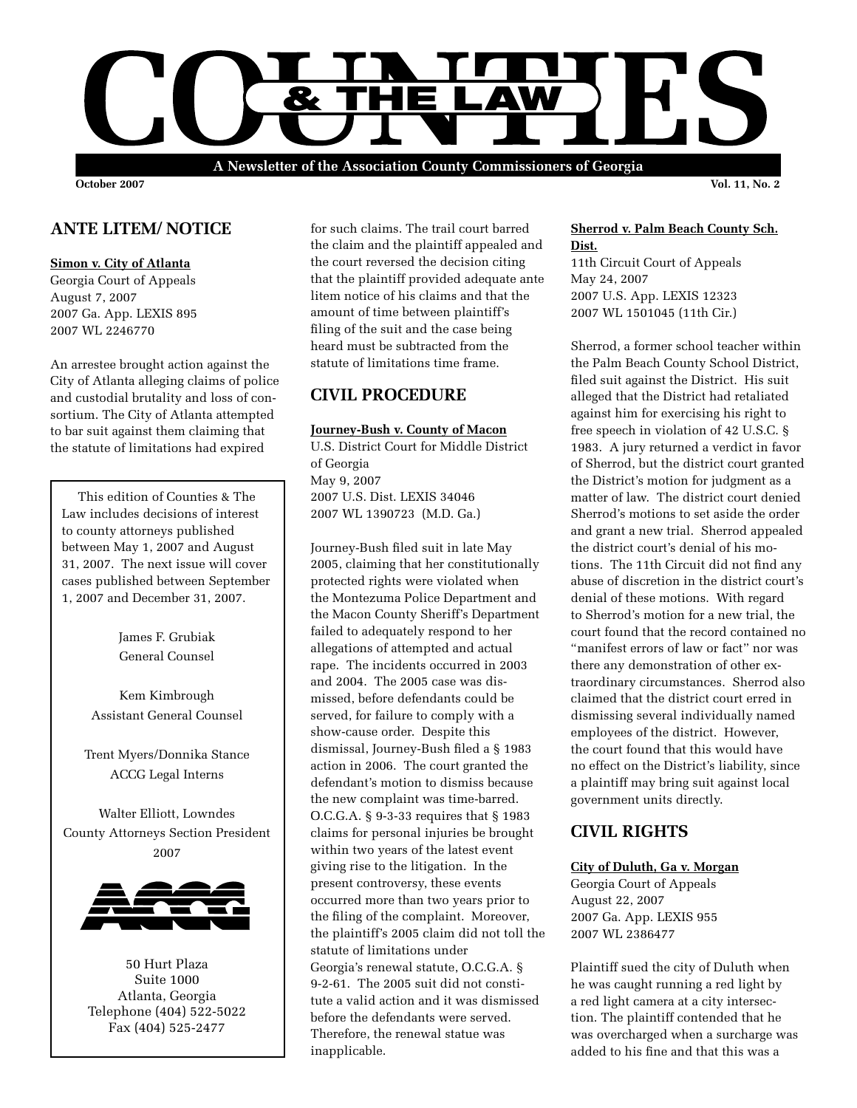

**October 2007 Vol. 11, No. 2**

# **ANTE LITEM/ NOTICE**

### **Simon v. City of Atlanta**

Georgia Court of Appeals August 7, 2007 2007 Ga. App. LEXIS 895 2007 WL 2246770

An arrestee brought action against the City of Atlanta alleging claims of police and custodial brutality and loss of consortium. The City of Atlanta attempted to bar suit against them claiming that the statute of limitations had expired

 This edition of Counties & The Law includes decisions of interest to county attorneys published between May 1, 2007 and August 31, 2007. The next issue will cover cases published between September 1, 2007 and December 31, 2007.

> James F. Grubiak General Counsel

Kem Kimbrough Assistant General Counsel

Trent Myers/Donnika Stance ACCG Legal Interns

Walter Elliott, Lowndes County Attorneys Section President 2007



50 Hurt Plaza Suite 1000 Atlanta, Georgia Telephone (404) 522-5022 Fax (404) 525-2477

for such claims. The trail court barred the claim and the plaintiff appealed and the court reversed the decision citing that the plaintiff provided adequate ante litem notice of his claims and that the amount of time between plaintiff's filing of the suit and the case being heard must be subtracted from the statute of limitations time frame.

# **CIVIL PROCEDURE**

### **Journey-Bush v. County of Macon**

U.S. District Court for Middle District of Georgia May 9, 2007 2007 U.S. Dist. LEXIS 34046 2007 WL 1390723 (M.D. Ga.)

Journey-Bush filed suit in late May 2005, claiming that her constitutionally protected rights were violated when the Montezuma Police Department and the Macon County Sheriff's Department failed to adequately respond to her allegations of attempted and actual rape. The incidents occurred in 2003 and 2004. The 2005 case was dismissed, before defendants could be served, for failure to comply with a show-cause order. Despite this dismissal, Journey-Bush filed a § 1983 action in 2006. The court granted the defendant's motion to dismiss because the new complaint was time-barred. O.C.G.A. § 9-3-33 requires that § 1983 claims for personal injuries be brought within two years of the latest event giving rise to the litigation. In the present controversy, these events occurred more than two years prior to the filing of the complaint. Moreover, the plaintiff's 2005 claim did not toll the statute of limitations under Georgia's renewal statute, O.C.G.A. § 9-2-61. The 2005 suit did not constitute a valid action and it was dismissed before the defendants were served. Therefore, the renewal statue was inapplicable.

### **Sherrod v. Palm Beach County Sch. Dist.**

11th Circuit Court of Appeals May 24, 2007 2007 U.S. App. LEXIS 12323 2007 WL 1501045 (11th Cir.)

Sherrod, a former school teacher within the Palm Beach County School District, filed suit against the District. His suit alleged that the District had retaliated against him for exercising his right to free speech in violation of 42 U.S.C. § 1983. A jury returned a verdict in favor of Sherrod, but the district court granted the District's motion for judgment as a matter of law. The district court denied Sherrod's motions to set aside the order and grant a new trial. Sherrod appealed the district court's denial of his motions. The 11th Circuit did not find any abuse of discretion in the district court's denial of these motions. With regard to Sherrod's motion for a new trial, the court found that the record contained no "manifest errors of law or fact" nor was there any demonstration of other extraordinary circumstances. Sherrod also claimed that the district court erred in dismissing several individually named employees of the district. However, the court found that this would have no effect on the District's liability, since a plaintiff may bring suit against local government units directly.

# **CIVIL RIGHTS**

#### **City of Duluth, Ga v. Morgan**

Georgia Court of Appeals August 22, 2007 2007 Ga. App. LEXIS 955 2007 WL 2386477

Plaintiff sued the city of Duluth when he was caught running a red light by a red light camera at a city intersection. The plaintiff contended that he was overcharged when a surcharge was added to his fine and that this was a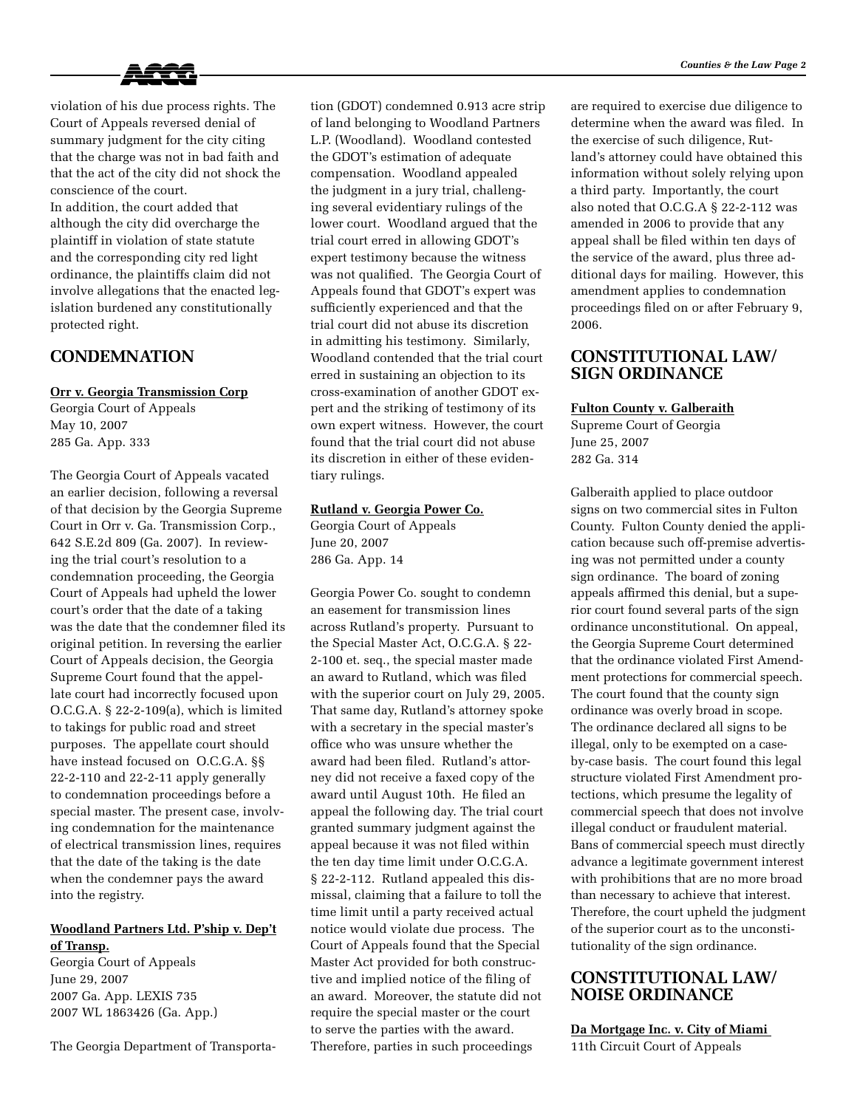

violation of his due process rights. The Court of Appeals reversed denial of summary judgment for the city citing that the charge was not in bad faith and that the act of the city did not shock the conscience of the court.

In addition, the court added that although the city did overcharge the plaintiff in violation of state statute and the corresponding city red light ordinance, the plaintiffs claim did not involve allegations that the enacted legislation burdened any constitutionally protected right.

### **Condemnation**

### **Orr v. Georgia Transmission Corp**

Georgia Court of Appeals May 10, 2007 285 Ga. App. 333

The Georgia Court of Appeals vacated an earlier decision, following a reversal of that decision by the Georgia Supreme Court in Orr v. Ga. Transmission Corp., 642 S.E.2d 809 (Ga. 2007). In reviewing the trial court's resolution to a condemnation proceeding, the Georgia Court of Appeals had upheld the lower court's order that the date of a taking was the date that the condemner filed its original petition. In reversing the earlier Court of Appeals decision, the Georgia Supreme Court found that the appellate court had incorrectly focused upon O.C.G.A. § 22-2-109(a), which is limited to takings for public road and street purposes. The appellate court should have instead focused on O.C.G.A. §§ 22-2-110 and 22-2-11 apply generally to condemnation proceedings before a special master. The present case, involving condemnation for the maintenance of electrical transmission lines, requires that the date of the taking is the date when the condemner pays the award into the registry.

### **Woodland Partners Ltd. P'ship v. Dep't of Transp.**

Georgia Court of Appeals June 29, 2007 2007 Ga. App. LEXIS 735 2007 WL 1863426 (Ga. App.)

The Georgia Department of Transporta-

tion (GDOT) condemned 0.913 acre strip of land belonging to Woodland Partners L.P. (Woodland). Woodland contested the GDOT's estimation of adequate compensation. Woodland appealed the judgment in a jury trial, challenging several evidentiary rulings of the lower court. Woodland argued that the trial court erred in allowing GDOT's expert testimony because the witness was not qualified. The Georgia Court of Appeals found that GDOT's expert was sufficiently experienced and that the trial court did not abuse its discretion in admitting his testimony. Similarly, Woodland contended that the trial court erred in sustaining an objection to its cross-examination of another GDOT expert and the striking of testimony of its own expert witness. However, the court found that the trial court did not abuse its discretion in either of these evidentiary rulings.

#### **Rutland v. Georgia Power Co.**

Georgia Court of Appeals June 20, 2007 286 Ga. App. 14

Georgia Power Co. sought to condemn an easement for transmission lines across Rutland's property. Pursuant to the Special Master Act, O.C.G.A. § 22- 2-100 et. seq., the special master made an award to Rutland, which was filed with the superior court on July 29, 2005. That same day, Rutland's attorney spoke with a secretary in the special master's office who was unsure whether the award had been filed. Rutland's attorney did not receive a faxed copy of the award until August 10th. He filed an appeal the following day. The trial court granted summary judgment against the appeal because it was not filed within the ten day time limit under O.C.G.A. § 22-2-112. Rutland appealed this dismissal, claiming that a failure to toll the time limit until a party received actual notice would violate due process. The Court of Appeals found that the Special Master Act provided for both constructive and implied notice of the filing of an award. Moreover, the statute did not require the special master or the court to serve the parties with the award. Therefore, parties in such proceedings

are required to exercise due diligence to determine when the award was filed. In the exercise of such diligence, Rutland's attorney could have obtained this information without solely relying upon a third party. Importantly, the court also noted that O.C.G.A § 22-2-112 was amended in 2006 to provide that any appeal shall be filed within ten days of the service of the award, plus three additional days for mailing. However, this amendment applies to condemnation proceedings filed on or after February 9, 2006.

### **Constitutional Law/ SIGN ORDINANCE**

### **Fulton County v. Galberaith**

Supreme Court of Georgia June 25, 2007 282 Ga. 314

Galberaith applied to place outdoor signs on two commercial sites in Fulton County. Fulton County denied the application because such off-premise advertising was not permitted under a county sign ordinance. The board of zoning appeals affirmed this denial, but a superior court found several parts of the sign ordinance unconstitutional. On appeal, the Georgia Supreme Court determined that the ordinance violated First Amendment protections for commercial speech. The court found that the county sign ordinance was overly broad in scope. The ordinance declared all signs to be illegal, only to be exempted on a caseby-case basis. The court found this legal structure violated First Amendment protections, which presume the legality of commercial speech that does not involve illegal conduct or fraudulent material. Bans of commercial speech must directly advance a legitimate government interest with prohibitions that are no more broad than necessary to achieve that interest. Therefore, the court upheld the judgment of the superior court as to the unconstitutionality of the sign ordinance.

### **CONSTITUTIONAL LAW/ NOISE ORDINANCE**

**Da Mortgage Inc. v. City of Miami**  11th Circuit Court of Appeals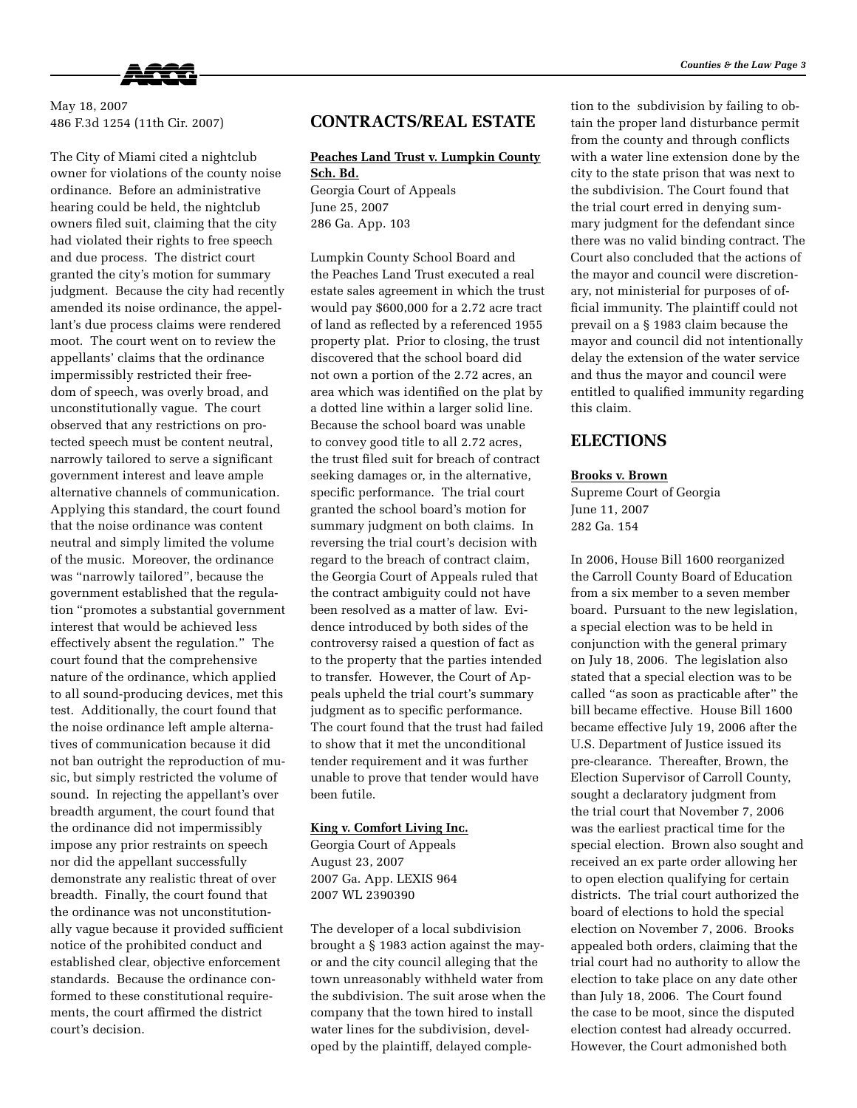

May 18, 2007 486 F.3d 1254 (11th Cir. 2007)

The City of Miami cited a nightclub owner for violations of the county noise ordinance. Before an administrative hearing could be held, the nightclub owners filed suit, claiming that the city had violated their rights to free speech and due process. The district court granted the city's motion for summary judgment. Because the city had recently amended its noise ordinance, the appellant's due process claims were rendered moot. The court went on to review the appellants' claims that the ordinance impermissibly restricted their freedom of speech, was overly broad, and unconstitutionally vague. The court observed that any restrictions on protected speech must be content neutral, narrowly tailored to serve a significant government interest and leave ample alternative channels of communication. Applying this standard, the court found that the noise ordinance was content neutral and simply limited the volume of the music. Moreover, the ordinance was "narrowly tailored", because the government established that the regulation "promotes a substantial government interest that would be achieved less effectively absent the regulation." The court found that the comprehensive nature of the ordinance, which applied to all sound-producing devices, met this test. Additionally, the court found that the noise ordinance left ample alternatives of communication because it did not ban outright the reproduction of music, but simply restricted the volume of sound. In rejecting the appellant's over breadth argument, the court found that the ordinance did not impermissibly impose any prior restraints on speech nor did the appellant successfully demonstrate any realistic threat of over breadth. Finally, the court found that the ordinance was not unconstitutionally vague because it provided sufficient notice of the prohibited conduct and established clear, objective enforcement standards. Because the ordinance conformed to these constitutional requirements, the court affirmed the district court's decision.

### **CONTRACTS/REAL ESTATE**

# **Peaches Land Trust v. Lumpkin County Sch. Bd.**

Georgia Court of Appeals June 25, 2007 286 Ga. App. 103

Lumpkin County School Board and the Peaches Land Trust executed a real estate sales agreement in which the trust would pay \$600,000 for a 2.72 acre tract of land as reflected by a referenced 1955 property plat. Prior to closing, the trust discovered that the school board did not own a portion of the 2.72 acres, an area which was identified on the plat by a dotted line within a larger solid line. Because the school board was unable to convey good title to all 2.72 acres, the trust filed suit for breach of contract seeking damages or, in the alternative, specific performance. The trial court granted the school board's motion for summary judgment on both claims. In reversing the trial court's decision with regard to the breach of contract claim, the Georgia Court of Appeals ruled that the contract ambiguity could not have been resolved as a matter of law. Evidence introduced by both sides of the controversy raised a question of fact as to the property that the parties intended to transfer. However, the Court of Appeals upheld the trial court's summary judgment as to specific performance. The court found that the trust had failed to show that it met the unconditional tender requirement and it was further unable to prove that tender would have been futile.

#### **King v. Comfort Living Inc.**

Georgia Court of Appeals August 23, 2007 2007 Ga. App. LEXIS 964 2007 WL 2390390

The developer of a local subdivision brought a § 1983 action against the mayor and the city council alleging that the town unreasonably withheld water from the subdivision. The suit arose when the company that the town hired to install water lines for the subdivision, developed by the plaintiff, delayed completion to the subdivision by failing to obtain the proper land disturbance permit from the county and through conflicts with a water line extension done by the city to the state prison that was next to the subdivision. The Court found that the trial court erred in denying summary judgment for the defendant since there was no valid binding contract. The Court also concluded that the actions of the mayor and council were discretionary, not ministerial for purposes of official immunity. The plaintiff could not prevail on a § 1983 claim because the mayor and council did not intentionally delay the extension of the water service and thus the mayor and council were entitled to qualified immunity regarding this claim.

### **ELECTIONS**

#### **Brooks v. Brown**

Supreme Court of Georgia June 11, 2007 282 Ga. 154

In 2006, House Bill 1600 reorganized the Carroll County Board of Education from a six member to a seven member board. Pursuant to the new legislation, a special election was to be held in conjunction with the general primary on July 18, 2006. The legislation also stated that a special election was to be called "as soon as practicable after" the bill became effective. House Bill 1600 became effective July 19, 2006 after the U.S. Department of Justice issued its pre-clearance. Thereafter, Brown, the Election Supervisor of Carroll County, sought a declaratory judgment from the trial court that November 7, 2006 was the earliest practical time for the special election. Brown also sought and received an ex parte order allowing her to open election qualifying for certain districts. The trial court authorized the board of elections to hold the special election on November 7, 2006. Brooks appealed both orders, claiming that the trial court had no authority to allow the election to take place on any date other than July 18, 2006. The Court found the case to be moot, since the disputed election contest had already occurred. However, the Court admonished both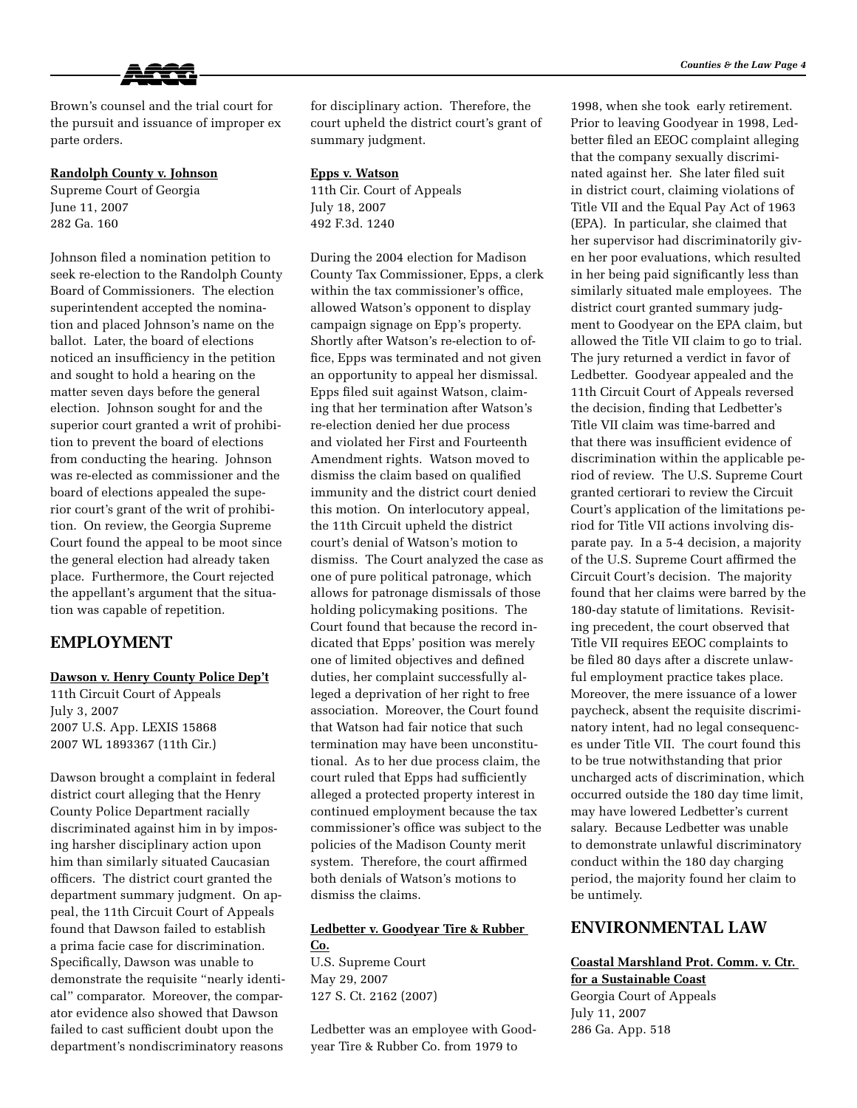Brown's counsel and the trial court for the pursuit and issuance of improper ex parte orders.

#### **Randolph County v. Johnson**

Supreme Court of Georgia June 11, 2007 282 Ga. 160

Johnson filed a nomination petition to seek re-election to the Randolph County Board of Commissioners. The election superintendent accepted the nomination and placed Johnson's name on the ballot. Later, the board of elections noticed an insufficiency in the petition and sought to hold a hearing on the matter seven days before the general election. Johnson sought for and the superior court granted a writ of prohibition to prevent the board of elections from conducting the hearing. Johnson was re-elected as commissioner and the board of elections appealed the superior court's grant of the writ of prohibition. On review, the Georgia Supreme Court found the appeal to be moot since the general election had already taken place. Furthermore, the Court rejected the appellant's argument that the situation was capable of repetition.

### **EMPLOYMENT**

#### **Dawson v. Henry County Police Dep't**

11th Circuit Court of Appeals July 3, 2007 2007 U.S. App. LEXIS 15868 2007 WL 1893367 (11th Cir.)

Dawson brought a complaint in federal district court alleging that the Henry County Police Department racially discriminated against him in by imposing harsher disciplinary action upon him than similarly situated Caucasian officers. The district court granted the department summary judgment. On appeal, the 11th Circuit Court of Appeals found that Dawson failed to establish a prima facie case for discrimination. Specifically, Dawson was unable to demonstrate the requisite "nearly identical" comparator. Moreover, the comparator evidence also showed that Dawson failed to cast sufficient doubt upon the department's nondiscriminatory reasons for disciplinary action. Therefore, the court upheld the district court's grant of summary judgment.

#### **Epps v. Watson**

11th Cir. Court of Appeals July 18, 2007 492 F.3d. 1240

During the 2004 election for Madison County Tax Commissioner, Epps, a clerk within the tax commissioner's office, allowed Watson's opponent to display campaign signage on Epp's property. Shortly after Watson's re-election to office, Epps was terminated and not given an opportunity to appeal her dismissal. Epps filed suit against Watson, claiming that her termination after Watson's re-election denied her due process and violated her First and Fourteenth Amendment rights. Watson moved to dismiss the claim based on qualified immunity and the district court denied this motion. On interlocutory appeal, the 11th Circuit upheld the district court's denial of Watson's motion to dismiss. The Court analyzed the case as one of pure political patronage, which allows for patronage dismissals of those holding policymaking positions. The Court found that because the record indicated that Epps' position was merely one of limited objectives and defined duties, her complaint successfully alleged a deprivation of her right to free association. Moreover, the Court found that Watson had fair notice that such termination may have been unconstitutional. As to her due process claim, the court ruled that Epps had sufficiently alleged a protected property interest in continued employment because the tax commissioner's office was subject to the policies of the Madison County merit system. Therefore, the court affirmed both denials of Watson's motions to dismiss the claims.

# **Ledbetter v. Goodyear Tire & Rubber Co.**

U.S. Supreme Court May 29, 2007 127 S. Ct. 2162 (2007)

Ledbetter was an employee with Goodyear Tire & Rubber Co. from 1979 to

1998, when she took early retirement. Prior to leaving Goodyear in 1998, Ledbetter filed an EEOC complaint alleging that the company sexually discriminated against her. She later filed suit in district court, claiming violations of Title VII and the Equal Pay Act of 1963 (EPA). In particular, she claimed that her supervisor had discriminatorily given her poor evaluations, which resulted in her being paid significantly less than similarly situated male employees. The district court granted summary judgment to Goodyear on the EPA claim, but allowed the Title VII claim to go to trial. The jury returned a verdict in favor of Ledbetter. Goodyear appealed and the 11th Circuit Court of Appeals reversed the decision, finding that Ledbetter's Title VII claim was time-barred and that there was insufficient evidence of discrimination within the applicable period of review. The U.S. Supreme Court granted certiorari to review the Circuit Court's application of the limitations period for Title VII actions involving disparate pay. In a 5-4 decision, a majority of the U.S. Supreme Court affirmed the Circuit Court's decision. The majority found that her claims were barred by the 180-day statute of limitations. Revisiting precedent, the court observed that Title VII requires EEOC complaints to be filed 80 days after a discrete unlawful employment practice takes place. Moreover, the mere issuance of a lower paycheck, absent the requisite discriminatory intent, had no legal consequences under Title VII. The court found this to be true notwithstanding that prior uncharged acts of discrimination, which occurred outside the 180 day time limit, may have lowered Ledbetter's current salary. Because Ledbetter was unable to demonstrate unlawful discriminatory conduct within the 180 day charging period, the majority found her claim to be untimely.

### **ENVIRONMENTAL LAW**

#### **Coastal Marshland Prot. Comm. v. Ctr. for a Sustainable Coast**

Georgia Court of Appeals July 11, 2007 286 Ga. App. 518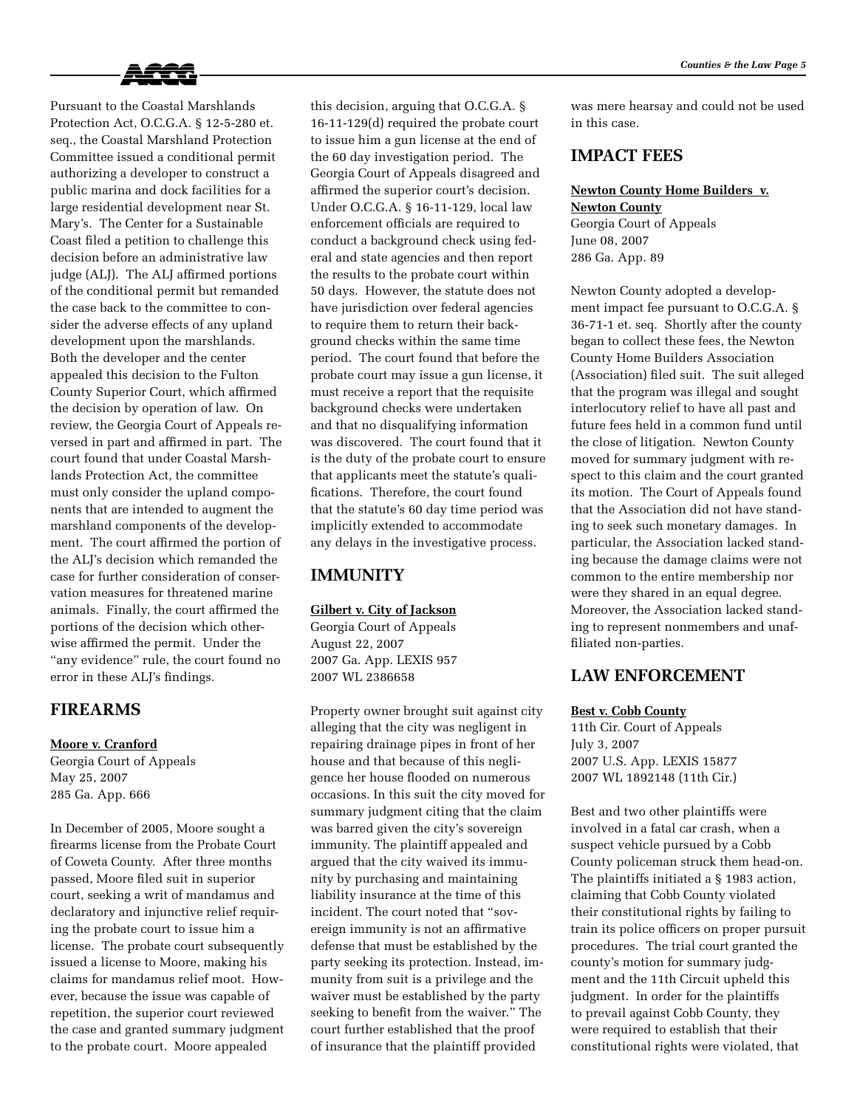

Pursuant to the Coastal Marshlands Protection Act, O.C.G.A. § 12-5-280 et. seq., the Coastal Marshland Protection Committee issued a conditional permit authorizing a developer to construct a public marina and dock facilities for a large residential development near St. Mary's. The Center for a Sustainable Coast filed a petition to challenge this decision before an administrative law judge (ALJ). The ALJ affirmed portions of the conditional permit but remanded the case back to the committee to consider the adverse effects of any upland development upon the marshlands. Both the developer and the center appealed this decision to the Fulton County Superior Court, which affirmed the decision by operation of law. On review, the Georgia Court of Appeals reversed in part and affirmed in part. The court found that under Coastal Marshlands Protection Act, the committee must only consider the upland components that are intended to augment the marshland components of the development. The court affirmed the portion of the ALJ's decision which remanded the case for further consideration of conservation measures for threatened marine animals. Finally, the court affirmed the portions of the decision which otherwise affirmed the permit. Under the "any evidence" rule, the court found no error in these ALJ's findings.

### **FIREARMS**

#### **Moore v. Cranford**

Georgia Court of Appeals May 25, 2007 285 Ga. App. 666

In December of 2005, Moore sought a firearms license from the Probate Court of Coweta County. After three months passed, Moore filed suit in superior court, seeking a writ of mandamus and declaratory and injunctive relief requiring the probate court to issue him a license. The probate court subsequently issued a license to Moore, making his claims for mandamus relief moot. However, because the issue was capable of repetition, the superior court reviewed the case and granted summary judgment to the probate court. Moore appealed

this decision, arguing that O.C.G.A. § 16-11-129(d) required the probate court to issue him a gun license at the end of the 60 day investigation period. The Georgia Court of Appeals disagreed and affirmed the superior court's decision. Under O.C.G.A. § 16-11-129, local law enforcement officials are required to conduct a background check using federal and state agencies and then report the results to the probate court within 50 days. However, the statute does not have jurisdiction over federal agencies to require them to return their background checks within the same time period. The court found that before the probate court may issue a gun license, it must receive a report that the requisite background checks were undertaken and that no disqualifying information was discovered. The court found that it is the duty of the probate court to ensure that applicants meet the statute's qualifications. Therefore, the court found that the statute's 60 day time period was implicitly extended to accommodate any delays in the investigative process.

### **IMMUNITY**

#### **Gilbert v. City of Jackson**

Georgia Court of Appeals August 22, 2007 2007 Ga. App. LEXIS 957 2007 WL 2386658

Property owner brought suit against city alleging that the city was negligent in repairing drainage pipes in front of her house and that because of this negligence her house flooded on numerous occasions. In this suit the city moved for summary judgment citing that the claim was barred given the city's sovereign immunity. The plaintiff appealed and argued that the city waived its immunity by purchasing and maintaining liability insurance at the time of this incident. The court noted that "sovereign immunity is not an affirmative defense that must be established by the party seeking its protection. Instead, immunity from suit is a privilege and the waiver must be established by the party seeking to benefit from the waiver." The court further established that the proof of insurance that the plaintiff provided

was mere hearsay and could not be used in this case.

## **IMPACT FEES**

# **Newton County Home Builders v. Newton County** Georgia Court of Appeals

June 08, 2007 286 Ga. App. 89

Newton County adopted a development impact fee pursuant to O.C.G.A. § 36-71-1 et. seq. Shortly after the county began to collect these fees, the Newton County Home Builders Association (Association) filed suit. The suit alleged that the program was illegal and sought interlocutory relief to have all past and future fees held in a common fund until the close of litigation. Newton County moved for summary judgment with respect to this claim and the court granted its motion. The Court of Appeals found that the Association did not have standing to seek such monetary damages. In particular, the Association lacked standing because the damage claims were not common to the entire membership nor were they shared in an equal degree. Moreover, the Association lacked standing to represent nonmembers and unaffiliated non-parties.

## **LAW ENFORCEMENT**

#### **Best v. Cobb County**

11th Cir. Court of Appeals July 3, 2007 2007 U.S. App. LEXIS 15877 2007 WL 1892148 (11th Cir.)

Best and two other plaintiffs were involved in a fatal car crash, when a suspect vehicle pursued by a Cobb County policeman struck them head-on. The plaintiffs initiated a § 1983 action, claiming that Cobb County violated their constitutional rights by failing to train its police officers on proper pursuit procedures. The trial court granted the county's motion for summary judgment and the 11th Circuit upheld this judgment. In order for the plaintiffs to prevail against Cobb County, they were required to establish that their constitutional rights were violated, that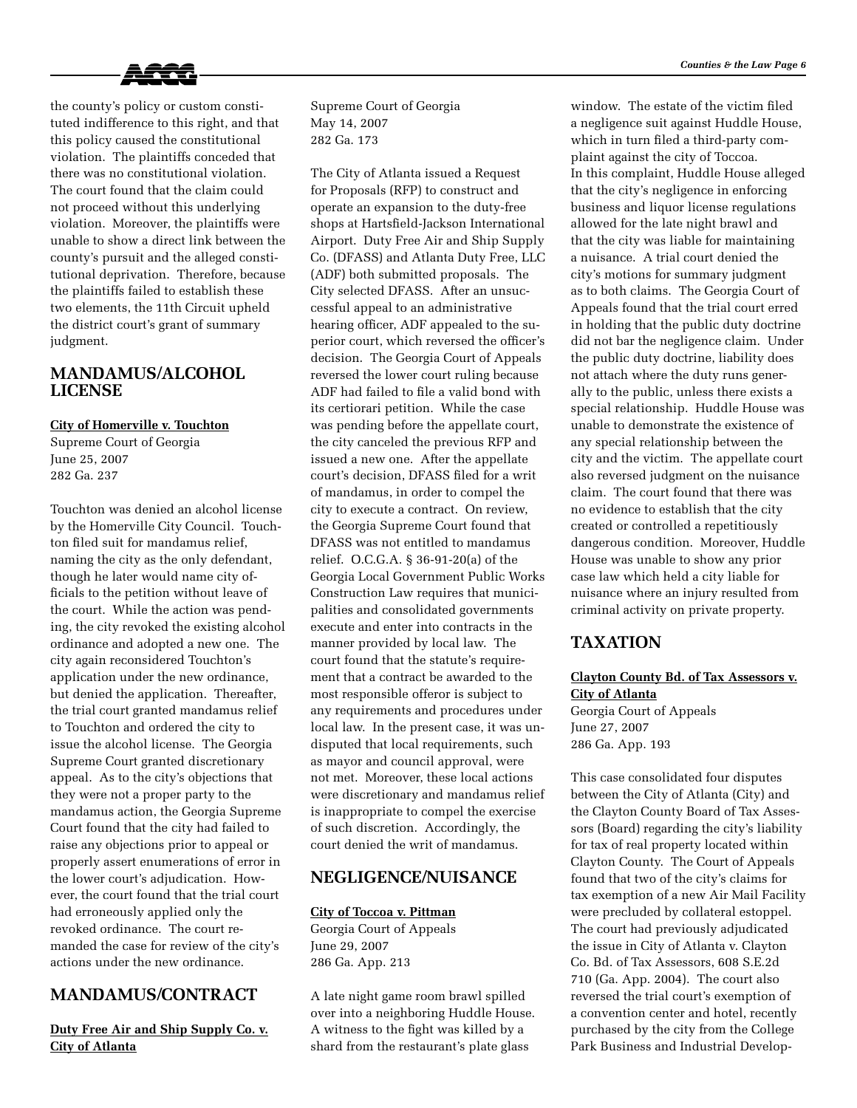

the county's policy or custom constituted indifference to this right, and that this policy caused the constitutional violation. The plaintiffs conceded that there was no constitutional violation. The court found that the claim could not proceed without this underlying violation. Moreover, the plaintiffs were unable to show a direct link between the county's pursuit and the alleged constitutional deprivation. Therefore, because the plaintiffs failed to establish these two elements, the 11th Circuit upheld the district court's grant of summary judgment.

## **Mandamus/Alcohol License**

#### **City of Homerville v. Touchton**

Supreme Court of Georgia June 25, 2007 282 Ga. 237

Touchton was denied an alcohol license by the Homerville City Council. Touchton filed suit for mandamus relief, naming the city as the only defendant, though he later would name city officials to the petition without leave of the court. While the action was pending, the city revoked the existing alcohol ordinance and adopted a new one. The city again reconsidered Touchton's application under the new ordinance, but denied the application. Thereafter, the trial court granted mandamus relief to Touchton and ordered the city to issue the alcohol license. The Georgia Supreme Court granted discretionary appeal. As to the city's objections that they were not a proper party to the mandamus action, the Georgia Supreme Court found that the city had failed to raise any objections prior to appeal or properly assert enumerations of error in the lower court's adjudication. However, the court found that the trial court had erroneously applied only the revoked ordinance. The court remanded the case for review of the city's actions under the new ordinance.

# **MANDAMUS/CONTRACT**

**Duty Free Air and Ship Supply Co. v. City of Atlanta**

Supreme Court of Georgia May 14, 2007 282 Ga. 173

The City of Atlanta issued a Request for Proposals (RFP) to construct and operate an expansion to the duty-free shops at Hartsfield-Jackson International Airport. Duty Free Air and Ship Supply Co. (DFASS) and Atlanta Duty Free, LLC (ADF) both submitted proposals. The City selected DFASS. After an unsuccessful appeal to an administrative hearing officer, ADF appealed to the superior court, which reversed the officer's decision. The Georgia Court of Appeals reversed the lower court ruling because ADF had failed to file a valid bond with its certiorari petition. While the case was pending before the appellate court, the city canceled the previous RFP and issued a new one. After the appellate court's decision, DFASS filed for a writ of mandamus, in order to compel the city to execute a contract. On review, the Georgia Supreme Court found that DFASS was not entitled to mandamus relief. O.C.G.A. § 36-91-20(a) of the Georgia Local Government Public Works Construction Law requires that municipalities and consolidated governments execute and enter into contracts in the manner provided by local law. The court found that the statute's requirement that a contract be awarded to the most responsible offeror is subject to any requirements and procedures under local law. In the present case, it was undisputed that local requirements, such as mayor and council approval, were not met. Moreover, these local actions were discretionary and mandamus relief is inappropriate to compel the exercise of such discretion. Accordingly, the court denied the writ of mandamus.

## **Negligence/Nuisance**

#### **City of Toccoa v. Pittman**

Georgia Court of Appeals June 29, 2007 286 Ga. App. 213

A late night game room brawl spilled over into a neighboring Huddle House. A witness to the fight was killed by a shard from the restaurant's plate glass

window. The estate of the victim filed a negligence suit against Huddle House, which in turn filed a third-party complaint against the city of Toccoa. In this complaint, Huddle House alleged that the city's negligence in enforcing business and liquor license regulations allowed for the late night brawl and that the city was liable for maintaining a nuisance. A trial court denied the city's motions for summary judgment as to both claims. The Georgia Court of Appeals found that the trial court erred in holding that the public duty doctrine did not bar the negligence claim. Under the public duty doctrine, liability does not attach where the duty runs generally to the public, unless there exists a special relationship. Huddle House was unable to demonstrate the existence of any special relationship between the city and the victim. The appellate court also reversed judgment on the nuisance claim. The court found that there was no evidence to establish that the city created or controlled a repetitiously dangerous condition. Moreover, Huddle House was unable to show any prior case law which held a city liable for nuisance where an injury resulted from criminal activity on private property.

# **TAXATION**

### **Clayton County Bd. of Tax Assessors v. City of Atlanta**

Georgia Court of Appeals June 27, 2007 286 Ga. App. 193

This case consolidated four disputes between the City of Atlanta (City) and the Clayton County Board of Tax Assessors (Board) regarding the city's liability for tax of real property located within Clayton County. The Court of Appeals found that two of the city's claims for tax exemption of a new Air Mail Facility were precluded by collateral estoppel. The court had previously adjudicated the issue in City of Atlanta v. Clayton Co. Bd. of Tax Assessors, 608 S.E.2d 710 (Ga. App. 2004). The court also reversed the trial court's exemption of a convention center and hotel, recently purchased by the city from the College Park Business and Industrial Develop-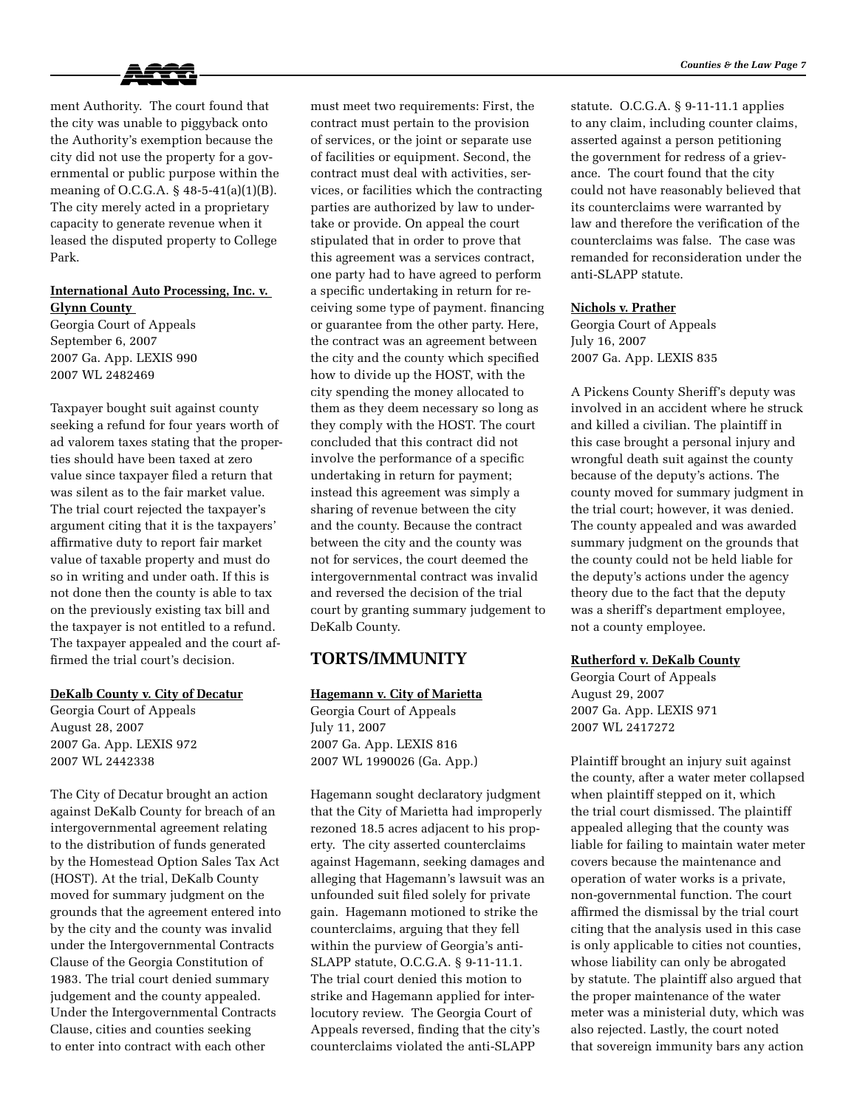

ment Authority. The court found that the city was unable to piggyback onto the Authority's exemption because the city did not use the property for a governmental or public purpose within the meaning of O.C.G.A. § 48-5-41(a)(1)(B). The city merely acted in a proprietary capacity to generate revenue when it leased the disputed property to College Park.

### **International Auto Processing, Inc. v. Glynn County**

Georgia Court of Appeals September 6, 2007 2007 Ga. App. LEXIS 990 2007 WL 2482469

Taxpayer bought suit against county seeking a refund for four years worth of ad valorem taxes stating that the properties should have been taxed at zero value since taxpayer filed a return that was silent as to the fair market value. The trial court rejected the taxpayer's argument citing that it is the taxpayers' affirmative duty to report fair market value of taxable property and must do so in writing and under oath. If this is not done then the county is able to tax on the previously existing tax bill and the taxpayer is not entitled to a refund. The taxpayer appealed and the court affirmed the trial court's decision.

#### **DeKalb County v. City of Decatur**

Georgia Court of Appeals August 28, 2007 2007 Ga. App. LEXIS 972 2007 WL 2442338

The City of Decatur brought an action against DeKalb County for breach of an intergovernmental agreement relating to the distribution of funds generated by the Homestead Option Sales Tax Act (HOST). At the trial, DeKalb County moved for summary judgment on the grounds that the agreement entered into by the city and the county was invalid under the Intergovernmental Contracts Clause of the Georgia Constitution of 1983. The trial court denied summary judgement and the county appealed. Under the Intergovernmental Contracts Clause, cities and counties seeking to enter into contract with each other

must meet two requirements: First, the contract must pertain to the provision of services, or the joint or separate use of facilities or equipment. Second, the contract must deal with activities, services, or facilities which the contracting parties are authorized by law to undertake or provide. On appeal the court stipulated that in order to prove that this agreement was a services contract, one party had to have agreed to perform a specific undertaking in return for receiving some type of payment. financing or guarantee from the other party. Here, the contract was an agreement between the city and the county which specified how to divide up the HOST, with the city spending the money allocated to them as they deem necessary so long as they comply with the HOST. The court concluded that this contract did not involve the performance of a specific undertaking in return for payment; instead this agreement was simply a sharing of revenue between the city and the county. Because the contract between the city and the county was not for services, the court deemed the intergovernmental contract was invalid and reversed the decision of the trial court by granting summary judgement to DeKalb County.

### **TORTS/IMMUNITY**

### **Hagemann v. City of Marietta**

Georgia Court of Appeals July 11, 2007 2007 Ga. App. LEXIS 816 2007 WL 1990026 (Ga. App.)

Hagemann sought declaratory judgment that the City of Marietta had improperly rezoned 18.5 acres adjacent to his property. The city asserted counterclaims against Hagemann, seeking damages and alleging that Hagemann's lawsuit was an unfounded suit filed solely for private gain. Hagemann motioned to strike the counterclaims, arguing that they fell within the purview of Georgia's anti-SLAPP statute, O.C.G.A. § 9-11-11.1. The trial court denied this motion to strike and Hagemann applied for interlocutory review. The Georgia Court of Appeals reversed, finding that the city's counterclaims violated the anti-SLAPP

statute. O.C.G.A. § 9-11-11.1 applies to any claim, including counter claims, asserted against a person petitioning the government for redress of a grievance. The court found that the city could not have reasonably believed that its counterclaims were warranted by law and therefore the verification of the counterclaims was false. The case was remanded for reconsideration under the anti-SLAPP statute.

### **Nichols v. Prather**

Georgia Court of Appeals July 16, 2007 2007 Ga. App. LEXIS 835

A Pickens County Sheriff's deputy was involved in an accident where he struck and killed a civilian. The plaintiff in this case brought a personal injury and wrongful death suit against the county because of the deputy's actions. The county moved for summary judgment in the trial court; however, it was denied. The county appealed and was awarded summary judgment on the grounds that the county could not be held liable for the deputy's actions under the agency theory due to the fact that the deputy was a sheriff's department employee, not a county employee.

#### **Rutherford v. DeKalb County**

Georgia Court of Appeals August 29, 2007 2007 Ga. App. LEXIS 971 2007 WL 2417272

Plaintiff brought an injury suit against the county, after a water meter collapsed when plaintiff stepped on it, which the trial court dismissed. The plaintiff appealed alleging that the county was liable for failing to maintain water meter covers because the maintenance and operation of water works is a private, non-governmental function. The court affirmed the dismissal by the trial court citing that the analysis used in this case is only applicable to cities not counties, whose liability can only be abrogated by statute. The plaintiff also argued that the proper maintenance of the water meter was a ministerial duty, which was also rejected. Lastly, the court noted that sovereign immunity bars any action